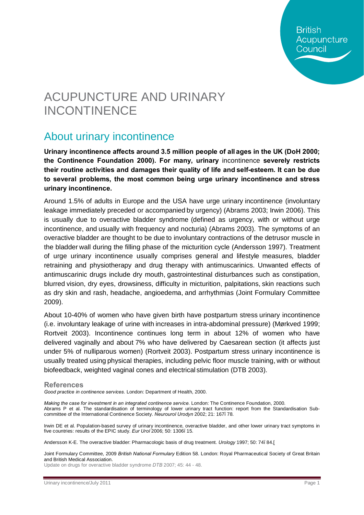**British** Acupuncture Council

# ACUPUNCTURE AND URINARY INCONTINENCE

# About urinary incontinence

**Urinary incontinence affects around 3.5 million people of all ages in the UK (DoH 2000; the Continence Foundation 2000). For many, urinary** incontinence **severely restricts their routine activities and damages their quality of life and self-esteem. It can be due to several problems, the most common being urge urinary incontinence and stress urinary incontinence.** 

Around 1.5% of adults in Europe and the USA have urge urinary incontinence (involuntary leakage immediately preceded or accompanied by urgency) (Abrams 2003; Irwin 2006). This is usually due to overactive bladder syndrome (defined as urgency, with or without urge incontinence, and usually with frequency and nocturia) (Abrams 2003). The symptoms of an overactive bladder are thought to be due to involuntary contractions of the detrusor muscle in the bladder wall during the filling phase of the micturition cycle (Andersson 1997). Treatment of urge urinary incontinence usually comprises general and lifestyle measures, bladder retraining and physiotherapy and drug therapy with antimuscarinics. Unwanted effects of antimuscarinic drugs include dry mouth, gastrointestinal disturbances such as constipation, blurred vision, dry eyes, drowsiness, difficulty in micturition, palpitations, skin reactions such as dry skin and rash, headache, angioedema, and arrhythmias (Joint Formulary Committee 2009).

About 10-40% of women who have given birth have postpartum stress urinary incontinence (i.e. involuntary leakage of urine with increases in intra-abdominal pressure) (Mørkved 1999; Rortveit 2003). Incontinence continues long term in about 12% of women who have delivered vaginally and about 7% who have delivered by Caesarean section (it affects just under 5% of nulliparous women) (Rortveit 2003). Postpartum stress urinary incontinence is usually treated using physical therapies, including pelvic floor muscle training, with or without biofeedback, weighted vaginal cones and electrical stimulation (DTB 2003).

#### **References**

*Good practice in continence services*. London: Department of Health, 2000.

*Making the case for investment in an integrated continence service*. London: The Continence Foundation, 2000. Abrams P et al. The standardisation of terminology of lower urinary tract function: report from the Standardisation Subcommittee of the International Continence Society. *Neurourol Urodyn* 2002; 21: 167–78.

Irwin DE et al. Population-based survey of urinary incontinence, overactive bladder, and other lower urinary tract symptoms in five countries: results of the EPIC study. *Eur Urol* 2006; 50: 1306–15.

Andersson K-E. The overactive bladder: Pharmacologic basis of drug treatment. *Urology* 1997; 50: 74–84.[

Joint Formulary Committee, 2009 *British National Formulary* Edition 58. London: Royal Pharmaceutical Society of Great Britain and British Medical Association.

Update on drugs for overactive bladder syndrome *DTB* 2007; 45: 44 - 48.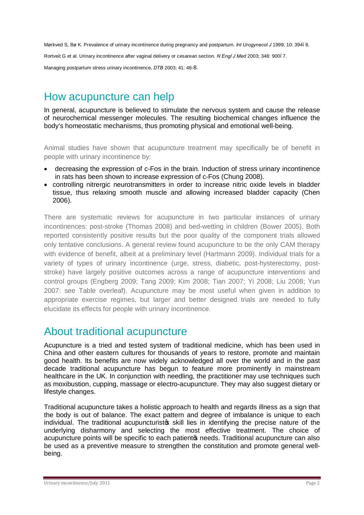Mørkved S, Bø K. Prevalence of urinary incontinence during pregnancy and postpartum. *Int Urogynecol J* 1999; 10: 394–8.

Rortveit G et al. Urinary incontinence after vaginal delivery or cesarean section. *N Engl J Med* 2003; 348: 900–7.

Managing postpartum stress urinary incontinence**.** *DTB* 2003; 41: 46-8.

## How acupuncture can help

In general, acupuncture is believed to stimulate the nervous system and cause the release of neurochemical messenger molecules. The resulting biochemical changes influence the body's homeostatic mechanisms, thus promoting physical and emotional well-being.

Animal studies have shown that acupuncture treatment may specifically be of benefit in people with urinary incontinence by:

- decreasing the expression of c-Fos in the brain. Induction of stress urinary incontinence in rats has been shown to increase expression of c-Fos (Chung 2008).
- · controlling nitrergic neurotransmitters in order to increase nitric oxide levels in bladder tissue, thus relaxing smooth muscle and allowing increased bladder capacity (Chen 2006).

There are systematic reviews for acupuncture in two particular instances of urinary incontinences: post-stroke (Thomas 2008) and bed-wetting in children (Bower 2005). Both reported consistently positive results but the poor quality of the component trials allowed only tentative conclusions. A general review found acupuncture to be the only CAM therapy with evidence of benefit, albeit at a preliminary level (Hartmann 2009). Individual trials for a variety of types of urinary incontinence (urge, stress, diabetic, post-hysterectomy, poststroke) have largely positive outcomes across a range of acupuncture interventions and control groups (Engberg 2009; Tang 2009; Kim 2008; Tian 2007; Yi 2008; Liu 2008; Yun 2007: see Table overleaf). Acupuncture may be most useful when given in addition to appropriate exercise regimes, but larger and better designed trials are needed to fully elucidate its effects for people with urinary incontinence.

### About traditional acupuncture

Acupuncture is a tried and tested system of traditional medicine, which has been used in China and other eastern cultures for thousands of years to restore, promote and maintain good health. Its benefits are now widely acknowledged all over the world and in the past decade traditional acupuncture has begun to feature more prominently in mainstream healthcare in the UK. In conjunction with needling, the practitioner may use techniques such as moxibustion, cupping, massage or electro-acupuncture. They may also suggest dietary or lifestyle changes.

Traditional acupuncture takes a holistic approach to health and regards illness as a sign that the body is out of balance. The exact pattern and degree of imbalance is unique to each individual. The traditional acupuncturists skill lies in identifying the precise nature of the underlying disharmony and selecting the most effective treatment. The choice of acupuncture points will be specific to each patiento needs. Traditional acupuncture can also be used as a preventive measure to strengthen the constitution and promote general wellbeing.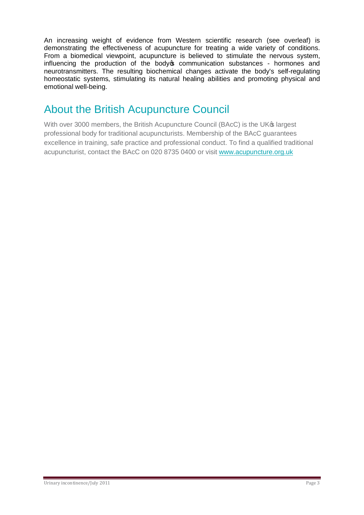An increasing weight of evidence from Western scientific research (see overleaf) is demonstrating the effectiveness of acupuncture for treating a wide variety of conditions. From a biomedical viewpoint, acupuncture is believed to stimulate the nervous system, influencing the production of the body ocommunication substances - hormones and neurotransmitters. The resulting biochemical changes activate the body's self-regulating homeostatic systems, stimulating its natural healing abilities and promoting physical and emotional well-being.

# About the British Acupuncture Council

With over 3000 members, the British Acupuncture Council (BAcC) is the UK<sup>®</sup> largest professional body for traditional acupuncturists. Membership of the BAcC guarantees excellence in training, safe practice and professional conduct. To find a qualified traditional acupuncturist, contact the BAcC on 020 8735 0400 or visit www.acupuncture.org.uk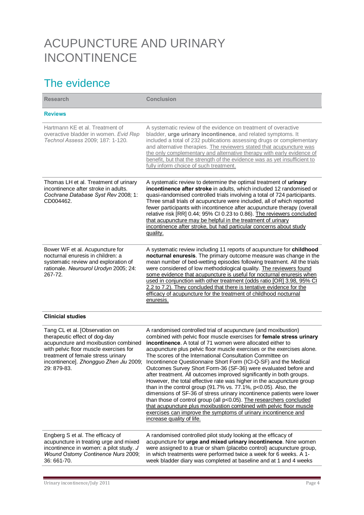# ACUPUNCTURE AND URINARY INCONTINENCE

# The evidence

| <b>Research</b>                                                                                                                                                                                                                                  | <b>Conclusion</b>                                                                                                                                                                                                                                                                                                                                                                                                                                                                                                                                                                                                                                                                                                                                                                                                                                                                                                                                                                                                                    |
|--------------------------------------------------------------------------------------------------------------------------------------------------------------------------------------------------------------------------------------------------|--------------------------------------------------------------------------------------------------------------------------------------------------------------------------------------------------------------------------------------------------------------------------------------------------------------------------------------------------------------------------------------------------------------------------------------------------------------------------------------------------------------------------------------------------------------------------------------------------------------------------------------------------------------------------------------------------------------------------------------------------------------------------------------------------------------------------------------------------------------------------------------------------------------------------------------------------------------------------------------------------------------------------------------|
| <b>Reviews</b>                                                                                                                                                                                                                                   |                                                                                                                                                                                                                                                                                                                                                                                                                                                                                                                                                                                                                                                                                                                                                                                                                                                                                                                                                                                                                                      |
| Hartmann KE et al. Treatment of<br>overactive bladder in women. Evid Rep<br>Technol Assess 2009; 187: 1-120.                                                                                                                                     | A systematic review of the evidence on treatment of overactive<br>bladder, urge urinary incontinence, and related symptoms. It<br>included a total of 232 publications assessing drugs or complementary<br>and alternative therapies. The reviewers stated that acupuncture was<br>the only complementary and alternative therapy with early evidence of<br>benefit, but that the strength of the evidence was as yet insufficient to<br>fully inform choice of such treatment.                                                                                                                                                                                                                                                                                                                                                                                                                                                                                                                                                      |
| Thomas LH et al. Treatment of urinary<br>incontinence after stroke in adults.<br>Cochrane Database Syst Rev 2008; 1:<br>CD004462.                                                                                                                | A systematic review to determine the optimal treatment of urinary<br>incontinence after stroke in adults, which included 12 randomised or<br>quasi-randomised controlled trials involving a total of 724 participants.<br>Three small trials of acupuncture were included, all of which reported<br>fewer participants with incontinence after acupuncture therapy (overall<br>relative risk [RR] 0.44; 95% CI 0.23 to 0.86). The reviewers concluded<br>that acupuncture may be helpful in the treatment of urinary<br>incontinence after stroke, but had particular concerns about study<br>quality.                                                                                                                                                                                                                                                                                                                                                                                                                               |
| Bower WF et al. Acupuncture for<br>nocturnal enuresis in children: a<br>systematic review and exploration of<br>rationale. Neurourol Urodyn 2005; 24:<br>267-72.                                                                                 | A systematic review including 11 reports of acupuncture for childhood<br>nocturnal enuresis. The primary outcome measure was change in the<br>mean number of bed-wetting episodes following treatment. All the trials<br>were considered of low methodological quality. The reviewers found<br>some evidence that acupuncture is useful for nocturnal enuresis when<br>used in conjunction with other treatment (odds ratio [OR] 3.98, 95% CI<br>2.2 to 7.2). They concluded that there is tentative evidence for the<br>efficacy of acupuncture for the treatment of childhood nocturnal<br>enuresis.                                                                                                                                                                                                                                                                                                                                                                                                                               |
| <b>Clinicial studies</b>                                                                                                                                                                                                                         |                                                                                                                                                                                                                                                                                                                                                                                                                                                                                                                                                                                                                                                                                                                                                                                                                                                                                                                                                                                                                                      |
| Tang CL et al. [Observation on<br>therapeutic effect of dog-day<br>acupuncture and moxibustion combined<br>with pelvic floor muscle exercises for<br>treatment of female stress urinary<br>incontinence]. Zhongguo Zhen Jiu 2009;<br>29: 879-83. | A randomised controlled trial of acupuncture (and moxibustion)<br>combined with pelvic floor muscle exercises for female stress urinary<br>incontinence. A total of 71 women were allocated either to<br>acupuncture plus pelvic floor muscle exercises or the exercises alone.<br>The scores of the International Consultation Committee on<br>Incontinence Questionnaire Short Form (ICI-Q-SF) and the Medical<br>Outcomes Survey Short Form-36 (SF-36) were evaluated before and<br>after treatment. All outcomes improved significantly in both groups.<br>However, the total effective rate was higher in the acupuncture group<br>than in the control group (91.7% vs. $77.1\%$ , $p<0.05$ ). Also, the<br>dimensions of SF-36 of stress urinary incontinence patients were lower<br>than those of control group (all p<0.05). The researchers concluded<br>that acupuncture plus moxibustion combined with pelvic floor muscle<br>exercises can improve the symptoms of urinary incontinence and<br>increase quality of life. |
| Engberg S et al. The efficacy of<br>acupuncture in treating urge and mixed<br>incontinence in women: a pilot study. J<br>Wound Ostomy Continence Nurs 2009;<br>36: 661-70.                                                                       | A randomised controlled pilot study looking at the efficacy of<br>acupuncture for urge and mixed urinary incontinence. Nine women<br>were assigned to a true or sham (placebo control) acupuncture group,<br>in which treatments were performed twice a week for 6 weeks. A 1-<br>week bladder diary was completed at baseline and at 1 and 4 weeks                                                                                                                                                                                                                                                                                                                                                                                                                                                                                                                                                                                                                                                                                  |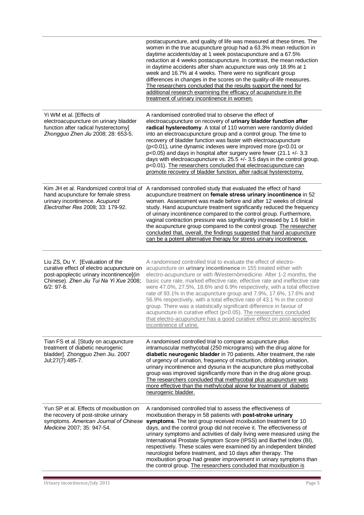|                                                                                                                                                                                      | postacupuncture, and quality of life was measured at these times. The<br>women in the true acupuncture group had a 63.3% mean reduction in<br>daytime accidents/day at 1 week postacupuncture and a 67.5%<br>reduction at 4 weeks postacupuncture. In contrast, the mean reduction<br>in daytime accidents after sham acupuncture was only 18.9% at 1<br>week and 16.7% at 4 weeks. There were no significant group<br>differences in changes in the scores on the quality-of-life measures.<br>The researchers concluded that the results support the need for<br>additional research examining the efficacy of acupuncture in the<br>treatment of urinary incontinence in women.                                                                                     |
|--------------------------------------------------------------------------------------------------------------------------------------------------------------------------------------|------------------------------------------------------------------------------------------------------------------------------------------------------------------------------------------------------------------------------------------------------------------------------------------------------------------------------------------------------------------------------------------------------------------------------------------------------------------------------------------------------------------------------------------------------------------------------------------------------------------------------------------------------------------------------------------------------------------------------------------------------------------------|
| Yi WM et al. [Effects of<br>electroacupuncture on urinary bladder<br>function after radical hysterectomy]<br>Zhongguo Zhen Jiu 2008; 28: 653-5.                                      | A randomised controlled trial to observe the effect of<br>electroacupuncture on recovery of urinary bladder function after<br>radical hysterectomy. A total of 110 women were randomly divided<br>into an electroacupuncture group and a control group. The time to<br>recovery of bladder function was faster with electroacupuncture<br>(p<0.01), urine dynamic indexes were improved more (p<0.01 or<br>p<0.05) and days in hospital after surgery were fewer (21.1 +/- 3.3<br>days with electroacupuncture vs. 25.5 +/- 3.5 days in the control group,<br>p<0.01). The researchers concluded that electroacupuncture can<br>promote recovery of bladder function, after radical hysterectomy.                                                                      |
| hand acupuncture for female stress<br>urinary incontinence. Acupunct<br>Electrother Res 2008; 33: 179-92.                                                                            | Kim JH et al. Randomized control trial of A randomised controlled study that evaluated the effect of hand<br>acupuncture treatment on female stress urinary incontinence in 52<br>women. Assessment was made before and after 12 weeks of clinical<br>study. Hand acupuncture treatment significantly reduced the frequency<br>of urinary incontinence compared to the control group. Furthermore,<br>vaginal contraction pressure was significantly increased by 1.6 fold in<br>the acupuncture group compared to the control group. The researcher<br>concluded that, overall, the findings suggested that hand acupuncture<br>can be a potent alternative therapy for stress urinary incontinence.                                                                  |
| Liu ZS, Du Y. [Evaluation of the<br>curative effect of electro acupuncture on<br>post-apoplectic urinary incontinence](in<br>Chinese). Zhen Jiu Tui Na Yi Xue 2008;<br>$6/2$ : 97-8. | A randomised controlled trial to evaluate the effect of electro-<br>acupuncture on urinary incontinence in 155 treated either with<br>electro-acupuncture or with %Western+medicine. After 1-2 months, the<br>basic cure rate, marked effective rate, effective rate and ineffective rate<br>were 47.0%, 27.5%, 18.6% and 6.9% respectively, with a total effective<br>rate of 93.1% in the acupuncture group and 7.9%, 17.6%, 17.6% and<br>56.9% respectively, with a total effective rate of 43.1 % in the control<br>group. There was a statistically significant difference in favour of<br>acupuncture in curative effect (p<0.05). The researchers concluded<br>that electro-acupuncture has a good curative effect on post-apoplectic<br>incontinence of urine. |
| Tian FS et al. [Study on acupuncture<br>treatment of diabetic neurogenic<br>bladder]. Zhongguo Zhen Jiu. 2007<br>Jul; 27(7): 485-7.                                                  | A randomised controlled trial to compare acupuncture plus<br>intramuscular methycobal (250 micrograms) with the drug alone for<br>diabetic neurogenic bladder in 70 patients. After treatment, the rate<br>of urgency of urination, frequency of micturition, dribbling urination,<br>urinary incontinence and dysuria in the acupuncture plus methycobal<br>group was improved significantly more than in the drug alone group.<br>The researchers concluded that methycobal plus acupuncture was<br>more effective than the methylcobal alone for treatment of diabetic<br>neurogenic bladder.                                                                                                                                                                       |
| Yun SP et al. Effects of moxibustion on<br>the recovery of post-stroke urinary<br>symptoms. American Journal of Chinese<br>Medicine 2007; 35: 947-54.                                | A randomised controlled trial to assess the effectiveness of<br>moxibustion therapy in 58 patients with post-stroke urinary<br>symptoms. The test group received moxibustion treatment for 10<br>days, and the control group did not receive it. The effectiveness of<br>urinary symptoms and activities of daily living were measured using the<br>International Prostate Symptom Score (IPSS) and Barthel Index (BI),<br>respectively. These scales were examined by an independent blinded<br>neurologist before treatment, and 10 days after therapy. The<br>moxibustion group had greater improvement in urinary symptoms than<br>the control group. The researchers concluded that moxibustion is                                                                |